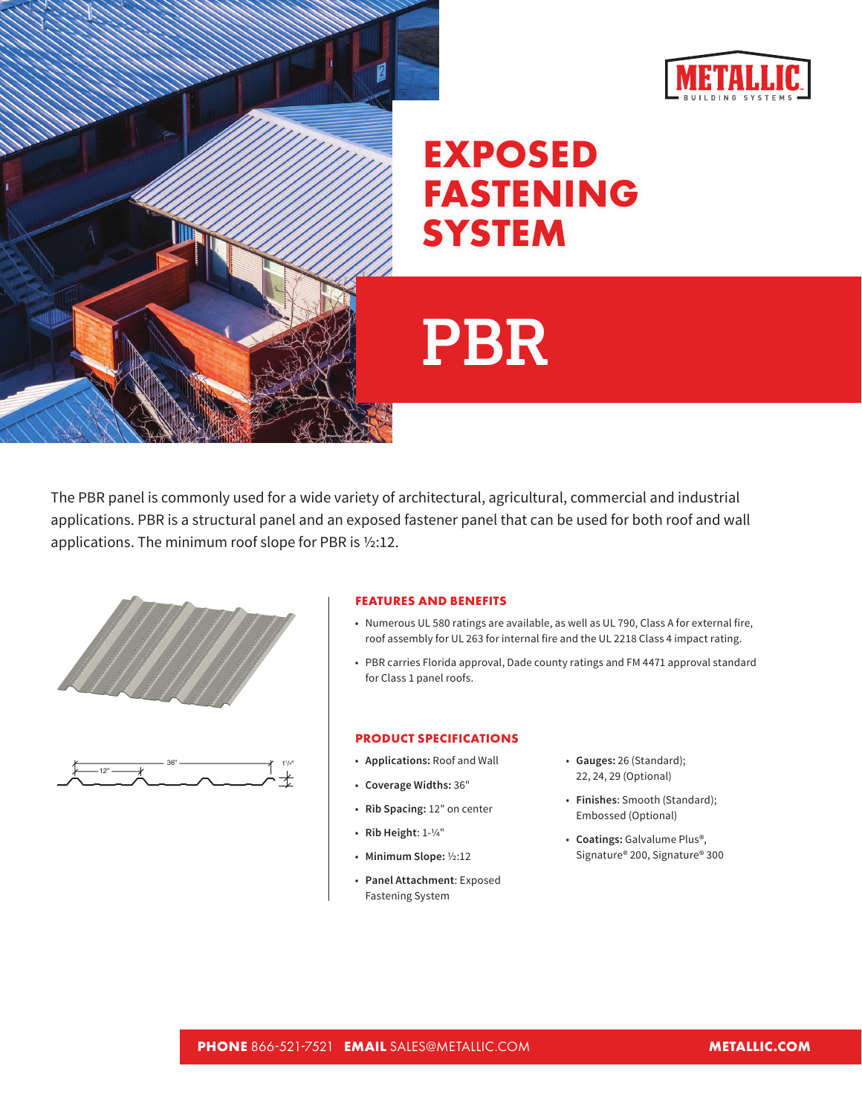



## **EXPOSED FASTENING SYSTEM**

## **PBR**

The PBR panel is commonly used for a wide variety of architectural, agricultural, commercial and industrial applications. PBR is a structural panel and an exposed fastener panel that can be used for both roof and wall applications. The minimum roof slope for PBR is ½:12.





## **FEATURES AND BENEFITS**

- Numerous UL 580 ratings are available, as well as UL 790, Class A for external fire, roof assembly for UL 263 for internal fire and the UL 2218 Class 4 impact rating.
- PBR carries Florida approval, Dade county ratings and FM 4471 approval standard for Class 1 panel roofs.

## **PRODUCT SPECIFICATIONS**

- **Applications:** Roof and Wall
- **Coverage Widths:** 36"
- **Rib Spacing:** 12" on center
- **Rib Height**: 1-1/4"
- **Minimum Slope:** ½:12
- **Panel Attachment**: Exposed Fastening System
- **Gauges:** 26 (Standard); 22, 24, 29 (Optional)
- **Finishes**: Smooth (Standard); Embossed (Optional)
- **Coatings:** Galvalume Plus®, Signature® 200, Signature® 300